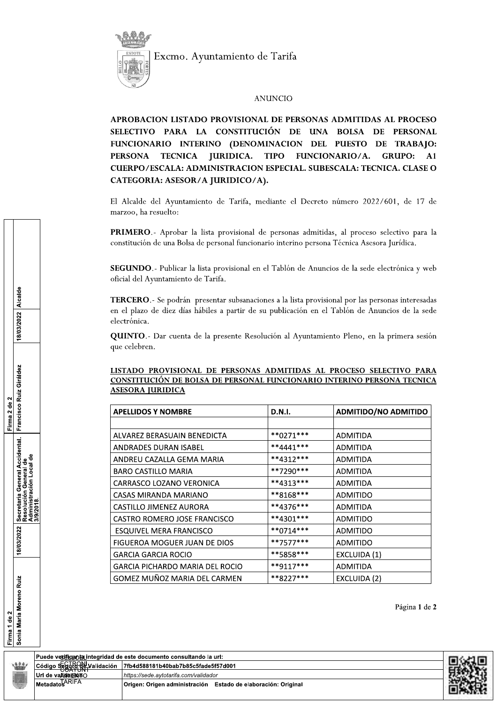

Excmo. Ayuntamiento de Tarifa

## **ANUNCIO**

APROBACION LISTADO PROVISIONAL DE PERSONAS ADMITIDAS AL PROCESO SELECTIVO PARA LA CONSTITUCIÓN DE UNA BOLSA DE PERSONAL FUNCIONARIO INTERINO (DENOMINACION DEL PUESTO DE TRABAJO: TECNICA JURIDICA. **TIPO** FUNCIONARIO/A. **GRUPO: PERSONA**  $A<sub>1</sub>$ CUERPO/ESCALA: ADMINISTRACION ESPECIAL. SUBESCALA: TECNICA. CLASE O CATEGORIA: ASESOR/A JURIDICO/A).

El Alcalde del Ayuntamiento de Tarifa, mediante el Decreto número 2022/601, de 17 de marzoo, ha resuelto:

PRIMERO.- Aprobar la lista provisional de personas admitidas, al proceso selectivo para la constitución de una Bolsa de personal funcionario interino persona Técnica Asesora Jurídica.

SEGUNDO.- Publicar la lista provisional en el Tablón de Anuncios de la sede electrónica y web oficial del Ayuntamiento de Tarifa.

**TERCERO**.- Se podrán presentar subsanaciones a la lista provisional por las personas interesadas en el plazo de diez días hábiles a partir de su publicación en el Tablón de Anuncios de la sede electrónica.

QUINTO.- Dar cuenta de la presente Resolución al Ayuntamiento Pleno, en la primera sesión que celebren.

LISTADO PROVISIONAL DE PERSONAS ADMITIDAS AL PROCESO SELECTIVO PARA CONSTITUCIÓN DE BOLSA DE PERSONAL FUNCIONARIO INTERINO PERSONA TECNICA **ASESORA JURIDICA** 

| <b>APELLIDOS Y NOMBRE</b>       | D.N.I.       | <b>ADMITIDO/NO ADMITIDO</b> |
|---------------------------------|--------------|-----------------------------|
|                                 |              |                             |
| ALVAREZ BERASUAIN BENEDICTA     | $***0271***$ | ADMITIDA                    |
| ANDRADES DURAN ISABEL           | $**4441***$  | ADMITIDA                    |
| ANDREU CAZALLA GEMA MARIA       | $**4312***$  | ADMITIDA                    |
| BARO CASTILLO MARIA             | $**7290***$  | ADMITIDA                    |
| CARRASCO LOZANO VERONICA        | $**4313***$  | ADMITIDA                    |
| CASAS MIRANDA MARIANO           | **8168***    | <b>ADMITIDO</b>             |
| CASTILLO JIMENEZ AURORA         | $**4376***$  | ADMITIDA                    |
| CASTRO ROMERO JOSE FRANCISCO    | $**4301***$  | <b>ADMITIDO</b>             |
| <b>ESQUIVEL MERA FRANCISCO</b>  | $**0714***$  | <b>ADMITIDO</b>             |
| FIGUEROA MOGUER JUAN DE DIOS    | $**7577***$  | <b>ADMITIDO</b>             |
| <b>GARCIA GARCIA ROCIO</b>      | **5858***    | EXCLUIDA (1)                |
| GARCIA PICHARDO MARIA DEL ROCIO | $**9117***$  | ADMITIDA                    |
| GOMEZ MUÑOZ MARIA DEL CARMEN    | **8227***    | EXCLUIDA (2)                |

Sonia María Moreno Ruiz Firma<sub>1</sub> de

18/03/2022 Alcalde

Francisco Ruiz Giráldez

Secretaria General Accidental. Resolución General de<br>Administración Local de

18/03/2022

Firma 2 de 2



Página 1 de 2